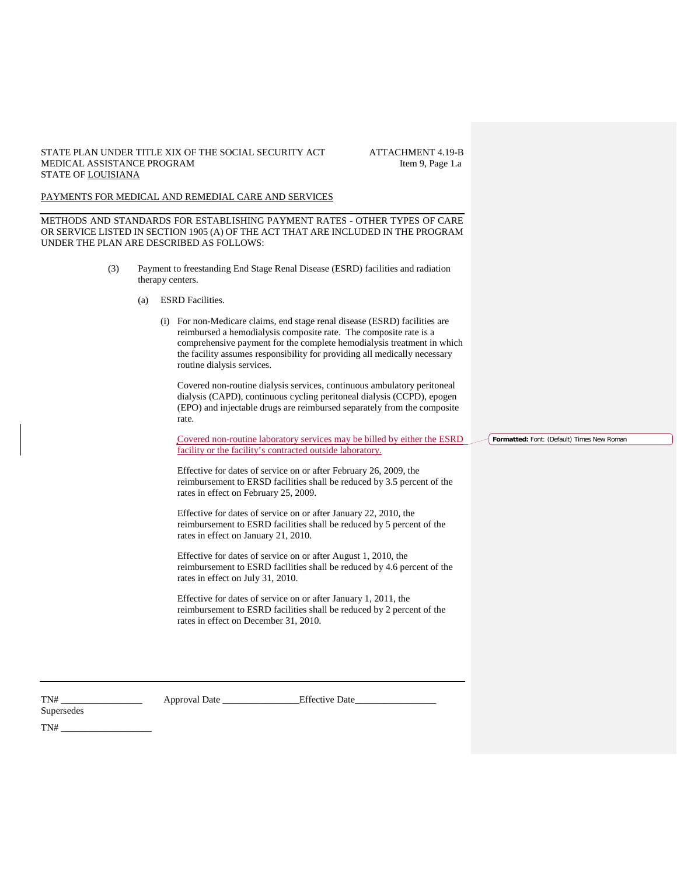### STATE PLAN UNDER TITLE XIX OF THE SOCIAL SECURITY ACT ATTACHMENT 4.19-B<br>MEDICAL ASSISTANCE PROGRAM ltem 9, Page 1.a MEDICAL ASSISTANCE PROGRAM STATE OF LOUISIANA

### PAYMENTS FOR MEDICAL AND REMEDIAL CARE AND SERVICES

METHODS AND STANDARDS FOR ESTABLISHING PAYMENT RATES - OTHER TYPES OF CARE OR SERVICE LISTED IN SECTION 1905 (A) OF THE ACT THAT ARE INCLUDED IN THE PROGRAM UNDER THE PLAN ARE DESCRIBED AS FOLLOWS:

- (3) Payment to freestanding End Stage Renal Disease (ESRD) facilities and radiation therapy centers.
	- (a) ESRD Facilities.
		- (i) For non-Medicare claims, end stage renal disease (ESRD) facilities are reimbursed a hemodialysis composite rate. The composite rate is a comprehensive payment for the complete hemodialysis treatment in which the facility assumes responsibility for providing all medically necessary routine dialysis services.

Covered non-routine dialysis services, continuous ambulatory peritoneal dialysis (CAPD), continuous cycling peritoneal dialysis (CCPD), epogen (EPO) and injectable drugs are reimbursed separately from the composite rate.

Covered non-routine laboratory services may be billed by either the ESRD facility or the facility's contracted outside laboratory.

Effective for dates of service on or after February 26, 2009, the reimbursement to ERSD facilities shall be reduced by 3.5 percent of the rates in effect on February 25, 2009.

Effective for dates of service on or after January 22, 2010, the reimbursement to ESRD facilities shall be reduced by 5 percent of the rates in effect on January 21, 2010.

Effective for dates of service on or after August 1, 2010, the reimbursement to ESRD facilities shall be reduced by 4.6 percent of the rates in effect on July 31, 2010.

Effective for dates of service on or after January 1, 2011, the reimbursement to ESRD facilities shall be reduced by 2 percent of the rates in effect on December 31, 2010.

**Supersedes** 

TN# \_\_\_\_\_\_\_\_\_\_\_\_\_\_\_\_\_ Approval Date \_\_\_\_\_\_\_\_\_\_\_\_\_\_\_\_Effective Date\_\_\_\_\_\_\_\_\_\_\_\_\_\_\_\_\_

 $TN#$ 

**Formatted:** Font: (Default) Times New Roman